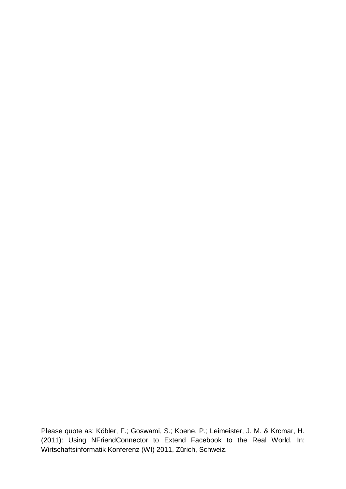Please quote as: Köbler, F.; Goswami, S.; Koene, P.; Leimeister, J. M. & Krcmar, H. (2011): Using NFriendConnector to Extend Facebook to the Real World. In: Wirtschaftsinformatik Konferenz (WI) 2011, Zürich, Schweiz.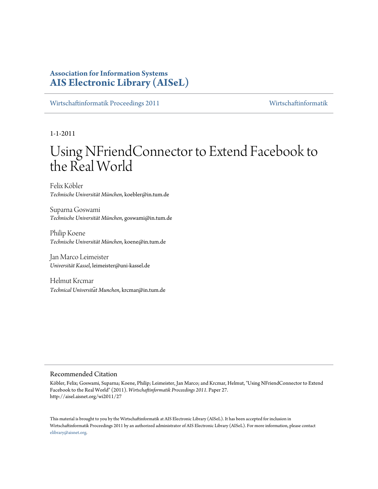## **Association for Information Systems [AIS Electronic Library \(AISeL\)](http://aisel.aisnet.org)**

[Wirtschaftinformatik Proceedings 2011](http://aisel.aisnet.org/wi2011) [Wirtschaftinformatik](http://aisel.aisnet.org/wi)

1-1-2011

# Using NFriendConnector to Extend Facebook to the Real World

Felix Köbler *Technische Universität München*, koebler@in.tum.de

Suparna Goswami *Technische Universität München*, goswami@in.tum.de

Philip Koene *Technische Universität München*, koene@in.tum.de

Jan Marco Leimeister *Universität Kassel*, leimeister@uni-kassel.de

Helmut Krcmar *Technical Universität Munchen*, krcmar@in.tum.de

#### Recommended Citation

Köbler, Felix; Goswami, Suparna; Koene, Philip; Leimeister, Jan Marco; and Krcmar, Helmut, "Using NFriendConnector to Extend Facebook to the Real World" (2011). *Wirtschaftinformatik Proceedings 2011.* Paper 27. http://aisel.aisnet.org/wi2011/27

This material is brought to you by the Wirtschaftinformatik at AIS Electronic Library (AISeL). It has been accepted for inclusion in Wirtschaftinformatik Proceedings 2011 by an authorized administrator of AIS Electronic Library (AISeL). For more information, please contact [elibrary@aisnet.org.](mailto:elibrary@aisnet.org>)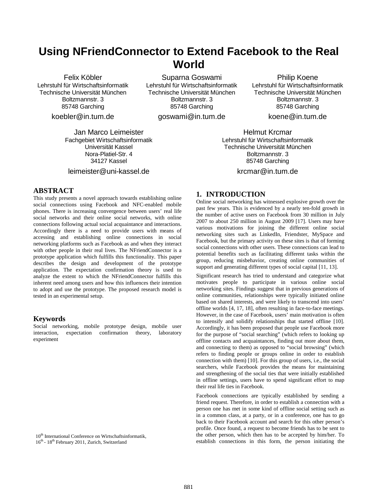## **Using NFriendConnector to Extend Facebook to the Real World**

Felix Köbler Lehrstuhl für Wirtschaftsinformatik Technische Universität München Boltzmannstr. 3 85748 Garching

koebler@in.tum.de

Jan Marco Leimeister Fachgebiet Wirtschaftsinformatik Universität Kassel Nora-Platiel-Str. 4 34127 Kassel

## leimeister@uni-kassel.de

### **ABSTRACT**

This study presents a novel approach towards establishing online social connections using Facebook and NFC-enabled mobile phones. There is increasing convergence between users' real life social networks and their online social networks, with online connections following actual social acquaintance and interactions. Accordingly there is a need to provide users with means of accessing and establishing online connections in social networking platforms such as Facebook as and when they interact with other people in their real lives. The NFriendConnector is a prototype application which fulfills this functionality. This paper describes the design and development of the prototype application. The expectation confirmation theory is used to analyze the extent to which the NFriendConnector fulfills this inherent need among users and how this influences their intention to adopt and use the prototype. The proposed research model is tested in an experimental setup.

#### **Keywords**

Social networking, mobile prototype design, mobile user interaction, expectation confirmation theory, laboratory experiment

10<sup>th</sup> International Conference on Wirtschaftsinformatik, 16th - 18th February 2011, Zurich, Switzerland

Suparna Goswami Lehrstuhl für Wirtschaftsinformatik Technische Universität München Boltzmannstr. 3 85748 Garching

goswami@in.tum.de

Philip Koene Lehrstuhl für Wirtschaftsinformatik Technische Universität München Boltzmannstr. 3 85748 Garching

koene@in.tum.de

Helmut Krcmar Lehrstuhl für Wirtschaftsinformatik Technische Universität München Boltzmannstr. 3 85748 Garching krcmar@in.tum.de

## **1. INTRODUCTION**

Online social networking has witnessed explosive growth over the past few years. This is evidenced by a nearly ten-fold growth in the number of active users on Facebook from 30 million in July 2007 to about 250 million in August 2009 [17]. Users may have various motivations for joining the different online social networking sites such as LinkedIn, Friendster, MySpace and Facebook, but the primary activity on these sites is that of forming social connections with other users. These connections can lead to potential benefits such as facilitating different tasks within the group, reducing misbehavior, creating online communities of support and generating different types of social capital [11, 13].

Significant research has tried to understand and categorize what motivates people to participate in various online social networking sites. Findings suggest that in previous generations of online communities, relationships were typically initiated online based on shared interests, and were likely to transcend into users' offline worlds [4, 17, 18], often resulting in face-to-face meetings. However, in the case of Facebook, users' main motivation is often to intensify and solidify relationships that started offline [10]. Accordingly, it has been proposed that people use Facebook more for the purpose of "social searching" (which refers to looking up offline contacts and acquaintances, finding out more about them, and connecting to them) as opposed to "social browsing" (which refers to finding people or groups online in order to establish connection with them) [10]. For this group of users, i.e., the social searchers, while Facebook provides the means for maintaining and strengthening of the social ties that were initially established in offline settings, users have to spend significant effort to map their real life ties in Facebook.

Facebook connections are typically established by sending a friend request. Therefore, in order to establish a connection with a person one has met in some kind of offline social setting such as in a common class, at a party, or in a conference, one has to go back to their Facebook account and search for this other person's profile. Once found, a request to become friends has to be sent to the other person, which then has to be accepted by him/her. To establish connections in this form, the person initiating the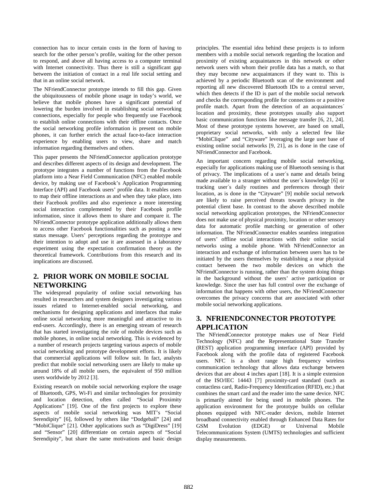connection has to incur certain costs in the form of having to search for the other person's profile, waiting for the other person to respond, and above all having access to a computer terminal with Internet connectivity. Thus there is still a significant gap between the initiation of contact in a real life social setting and that in an online social network.

The NFriendConnector prototype intends to fill this gap. Given the ubiquitousness of mobile phone usage in today's world, we believe that mobile phones have a significant potential of lowering the burden involved in establishing social networking connections, especially for people who frequently use Facebook to establish online connections with their offline contacts. Once the social networking profile information is present on mobile phones, it can further enrich the actual face-to-face interaction experience by enabling users to view, share and match information regarding themselves and others.

This paper presents the NFriendConnector application prototype and describes different aspects of its design and development. The prototype integrates a number of functions from the Facebook platform into a Near Field Communication (NFC) enabled mobile device, by making use of Facebook's Application Programming Interface (API) and Facebook users' profile data. It enables users to map their offline interactions as and when they take place, into their Facebook profiles and also experience a more interesting social interaction complemented by their Facebook profile information, since it allows them to share and compare it. The NFriendConnector prototype application additionally allows them to access other Facebook functionalities such as posting a new status message. Users' perceptions regarding the prototype and their intention to adopt and use it are assessed in a laboratory experiment using the expectation confirmation theory as the theoretical framework. Contributions from this research and its implications are discussed.

## **2. PRIOR WORK ON MOBILE SOCIAL NETWORKING**

The widespread popularity of online social networking has resulted in researchers and system designers investigating various issues related to Internet-enabled social networking, and mechanisms for designing applications and interfaces that make online social networking more meaningful and attractive to its end-users. Accordingly, there is an emerging stream of research that has started investigating the role of mobile devices such as mobile phones, in online social networking. This is evidenced by a number of research projects targeting various aspects of mobile social networking and prototype development efforts. It is likely that commercial applications will follow suit. In fact, analysts predict that mobile social networking users are likely to make up around 18% of all mobile users, the equivalent of 950 million users worldwide by 2012 [3].

Existing research on mobile social networking explore the usage of Bluetooth, GPS, Wi-Fi and similar technologies for proximity and location detection, often called "Social Proximity Applications" [19]. One of the first projects to explore these aspects of mobile social networking was MIT's "Social Serendipity" [6], followed by others like "Dodgeball" [24] and "MobiClique" [21]. Other applications such as "DigiDress" [19] and "Sensor" [20] differentiate on certain aspects of "Social Serendipity", but share the same motivations and basic design

principles. The essential idea behind these projects is to inform members with a mobile social network regarding the location and proximity of existing acquaintances in this network or other network users with whom their profile data has a match, so that they may become new acquaintances if they want to. This is achieved by a periodic Bluetooth scan of the environment and reporting all new discovered Bluetooth IDs to a central server, which then detects if the ID is part of the mobile social network and checks the corresponding profile for connections or a positive profile match. Apart from the detection of an acquaintances´ location and proximity, these prototypes usually also support basic communication functions like message transfer [6, 21, 24]. Most of these prototype systems however, are based on small, proprietary social networks, with only a selected few like "MobiClique" and "Cityware" leveraging the large user base of existing online social networks [9, 21], as is done in the case of NFriendConnector and Facebook.

An important concern regarding mobile social networking, especially for applications making use of Bluetooth sensing is that of privacy. The implications of a user´s name and details being made available to a stranger without the user´s knowledge [6] or tracking user´s daily routines and preferences through their location, as is done in the "Cityware" [9] mobile social network are likely to raise perceived threats towards privacy in the potential client base. In contrast to the above described mobile social networking application prototypes, the NFriendConnector does not make use of physical proximity, location or other sensory data for automatic profile matching or generation of other information. The NFriendConnector enables seamless integration of users' offline social interactions with their online social networks using a mobile phone. With NFriendConnector an interaction and exchange of information between users has to be initiated by the users themselves by establishing a near physical contact between the two mobile devices on which the NFriendConnector is running, rather than the system doing things in the background without the users' active participation or knowledge. Since the user has full control over the exchange of information that happens with other users, the NFriendConnector overcomes the privacy concerns that are associated with other mobile social networking applications.

## **3. NFRIENDCONNECTOR PROTOTYPE APPLICATION**

The NFriendConnector prototype makes use of Near Field Technology (NFC) and the Representational State Transfer (REST) application programming interface (API) provided by Facebook along with the profile data of registered Facebook users. NFC is a short range high frequency wireless communication technology that allows data exchange between devices that are about 4 inches apart [18]. It is a simple extension of the ISO/IEC 14443 [7] proximity-card standard (such as contactless card, Radio-Frequency Identification (RFID), etc.) that combines the smart card and the reader into the same device. NFC is primarily aimed for being used in mobile phones. The application environment for the prototype builds on cellular phones equipped with NFC-reader devices, mobile Internet broadband connectivity enabled through Enhanced Data Rates for GSM Evolution (EDGE) or Universal Mobile Telecommunications System (UMTS) technologies and sufficient display measurements.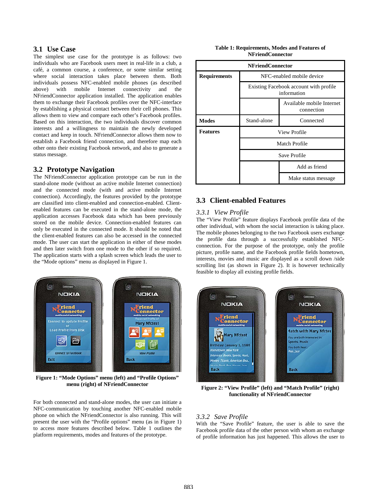#### **3.1 Use Case**

The simplest use case for the prototype is as follows: two individuals who are Facebook users meet in real-life in a club, a café, a common course, a conference, or some similar setting where social interaction takes place between them. Both individuals possess NFC-enabled mobile phones (as described above) with mobile Internet connectivity and the NFriendConnector application installed. The application enables them to exchange their Facebook profiles over the NFC-interface by establishing a physical contact between their cell phones. This allows them to view and compare each other's Facebook profiles. Based on this interaction, the two individuals discover common interests and a willingness to maintain the newly developed contact and keep in touch. NFriendConnector allows them now to establish a Facebook friend connection, and therefore map each other onto their existing Facebook network, and also to generate a status message.

## **3.2 Prototype Navigation**

The NFriendConnector application prototype can be run in the stand-alone mode (without an active mobile Internet connection) and the connected mode (with and active mobile Internet connection). Accordingly, the features provided by the prototype are classified into client-enabled and connection-enabled. Clientenabled features can be executed in the stand-alone mode, the application accesses Facebook data which has been previously stored on the mobile device. Connection-enabled features can only be executed in the connected mode. It should be noted that the client-enabled features can also be accessed in the connected mode. The user can start the application in either of these modes and then later switch from one mode to the other if so required. The application starts with a splash screen which leads the user to the "Mode options" menu as displayed in Figure 1.



**Figure 1: "Mode Options" menu (left) and "Profile Options" menu (right) of NFriendConnector**

For both connected and stand-alone modes, the user can initiate a NFC-communication by touching another NFC-enabled mobile phone on which the NFriendConnector is also running. This will present the user with the "Profile options" menu (as in Figure 1) to access more features described below. Table 1 outlines the platform requirements, modes and features of the prototype.

| Table 1: Requirements, Modes and Features of |  |  |  |
|----------------------------------------------|--|--|--|
| <b>NFriendConnector</b>                      |  |  |  |

| <b>NFriendConnector</b> |                                                       |                     |  |
|-------------------------|-------------------------------------------------------|---------------------|--|
| <b>Requirements</b>     | NFC-enabled mobile device                             |                     |  |
|                         | Existing Facebook account with profile<br>information |                     |  |
|                         | Available mobile Internet<br>connection               |                     |  |
| <b>Modes</b>            | Stand-alone                                           | Connected           |  |
| <b>Features</b>         | View Profile                                          |                     |  |
|                         | Match Profile                                         |                     |  |
|                         | Save Profile                                          |                     |  |
|                         |                                                       | Add as friend       |  |
|                         |                                                       | Make status message |  |

## **3.3 Client-enabled Features**

#### *3.3.1 View Profile*

The "View Profile" feature displays Facebook profile data of the other individual, with whom the social interaction is taking place. The mobile phones belonging to the two Facebook users exchange the profile data through a successfully established NFCconnection. For the purpose of the prototype, only the profile picture, profile name, and the Facebook profile fields hometown, interests, movies and music are displayed as a scroll down /side scrolling list (as shown in Figure 2). It is however technically feasible to display all existing profile fields.



**Figure 2: "View Profile" (left) and "Match Profile" (right) functionality of NFriendConnector**

#### *3.3.2 Save Profile*

With the "Save Profile" feature, the user is able to save the Facebook profile data of the other person with whom an exchange of profile information has just happened. This allows the user to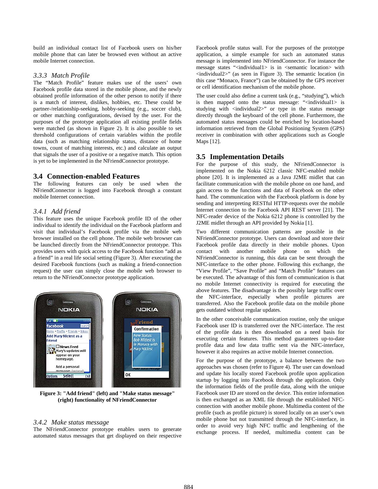build an individual contact list of Facebook users on his/her mobile phone that can later be browsed even without an active mobile Internet connection.

#### *3.3.3 Match Profile*

The "Match Profile" feature makes use of the users' own Facebook profile data stored in the mobile phone, and the newly obtained profile information of the other person to notify if there is a match of interest, dislikes, hobbies, etc. These could be partner-/relationship-seeking, hobby-seeking (e.g., soccer club), or other matching configurations, devised by the user. For the purposes of the prototype application all existing profile fields were matched (as shown in Figure 2). It is also possible to set threshold configurations of certain variables within the profile data (such as matching relationship status, distance of home towns, count of matching interests, etc.) and calculate an output that signals the user of a positive or a negative match. This option is yet to be implemented in the NFriendConnector prototype.

#### **3.4 Connection-enabled Features**

The following features can only be used when the NFriendConnector is logged into Facebook through a constant mobile Internet connection.

#### *3.4.1 Add friend*

This feature uses the unique Facebook profile ID of the other individual to identify the individual on the Facebook platform and visit that individual's Facebook profile via the mobile web browser installed on the cell phone. The mobile web browser can be launched directly from the NFriendConnector prototype. This provides users with quick access to the Facebook function "add as a friend" in a real life social setting (Figure 3). After executing the desired Facebook functions (such as making a friend-connection request) the user can simply close the mobile web browser to return to the NFriendConnector prototype application.



**Figure 3: "Add friend" (left) and "Make status message" (right) functionality of NFriendConnector**

#### *3.4.2 Make status message*

The NFriendConnector prototype enables users to generate automated status messages that get displayed on their respective Facebook profile status wall. For the purposes of the prototype application, a simple example for such an automated status message is implemented into NFriendConnector. For instance the message states "<individual1> is in <semantic location> with <individual2>" (as seen in Figure 3). The semantic location (in this case "Monaco, France") can be obtained by the GPS receiver or cell identification mechanism of the mobile phone.

The user could also define a current task (e.g., "studying"), which is then mapped onto the status message: "<individual1> is studying with <individual2>" or type in the status message directly through the keyboard of the cell phone. Furthermore, the automated status messages could be enriched by location-based information retrieved from the Global Positioning System (GPS) receiver in combination with other applications such as Google Maps [12].

#### **3.5 Implementation Details**

For the purpose of this study, the NFriendConnector is implemented on the Nokia 6212 classic NFC-enabled mobile phone [20]. It is implemented as a Java J2ME midlet that can facilitate communication with the mobile phone on one hand, and gain access to the functions and data of Facebook on the other hand. The communication with the Facebook platform is done by sending and interpreting RESTful HTTP-requests over the mobile Internet connection to the Facebook API REST server [21]. The NFC-reader device of the Nokia 6212 phone is controlled by the J2ME midlet through an API provided by Nokia [1].

Two different communication patterns are possible in the NFriendConnector prototype. Users can download and store their Facebook profile data directly in their mobile phones. Upon contact with another mobile phone on which the NFriendConnector is running, this data can be sent through the NFC-interface to the other phone. Following this exchange, the "View Profile", "Save Profile" and "Match Profile" features can be executed. The advantage of this form of communication is that no mobile Internet connectivity is required for executing the above features. The disadvantage is the possibly large traffic over the NFC-interface, especially when profile pictures are transferred. Also the Facebook profile data on the mobile phone gets outdated without regular updates.

In the other conceivable communication routine, only the unique Facebook user ID is transferred over the NFC-interface. The rest of the profile data is then downloaded on a need basis for executing certain features. This method guarantees up-to-date profile data and low data traffic sent via the NFC-interface, however it also requires an active mobile Internet connection.

For the purpose of the prototype, a balance between the two approaches was chosen (refer to Figure 4). The user can download and update his locally stored Facebook profile upon application startup by logging into Facebook through the application. Only the information fields of the profile data, along with the unique Facebook user ID are stored on the device. This entire information is then exchanged as an XML file through the established NFCconnection with another mobile phone. Multimedia content of the profile (such as profile picture) is stored locally on an user's own mobile phone but not transmitted through the NFC-interface, in order to avoid very high NFC traffic and lengthening of the exchange process. If needed, multimedia content can be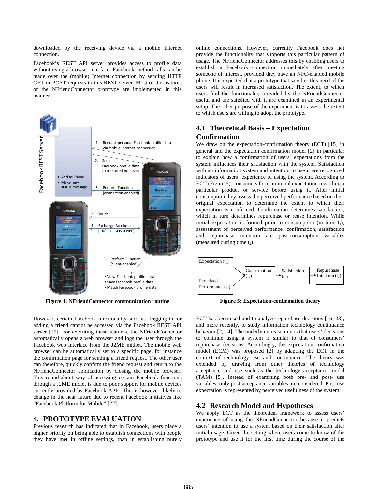downloaded by the receiving device via a mobile Internet connection.

Facebook's REST API server provides access to profile data without using a browser interface. Facebook method calls can be made over the (mobile) Internet connection by sending HTTP GET or POST requests to this REST server. Most of the features of the NFriendConnector prototype are implemented in this manner.



**Figure 4: NFriendConnector communication routine**

However, certain Facebook functionality such as logging in, or adding a friend cannot be accessed via the Facebook REST API server [21]. For executing these features, the NFriendConnector automatically opens a web browser and logs the user through the Facebook web interface from the J2ME midlet. The mobile web browser can be automatically set to a specific page, for instance the confirmation page for sending a friend request. The other user can therefore, quickly confirm the friend request and return to the NFriendConnector application by closing the mobile browser. This round-about way of accessing certain Facebook functions through a J2ME midlet is due to poor support for mobile devices currently provided by Facebook APIs. This is however, likely to change in the near future due to recent Facebook initiatives like "Facebook Platform for Mobile" [22].

#### **4. PROTOTYPE EVALUATION**

Previous research has indicated that in Facebook, users place a higher priority on being able to establish connections with people they have met in offline settings, than in establishing purely online connections. However, currently Facebook does not provide the functionality that supports this particular pattern of usage. The NFriendConnector addresses this by enabling users to establish a Facebook connection immediately after meeting someone of interest, provided they have an NFC-enabled mobile phone. It is expected that a prototype that satisfies this need of the users will result in increased satisfaction. The extent, to which users find the functionality provided by the NFriendConnector useful and are satisfied with it are examined in an experimental setup. The other purpose of the experiment is to assess the extent to which users are willing to adopt the prototype.

## **4.1 Theoretical Basis – Expectation Confirmation**

We draw on the expectation-confirmation theory (ECT) [15] in general and the expectation confirmation model [2] in particular to explain how a confirmation of users' expectations from the system influences their satisfaction with the system. Satisfaction with an information system and intention to use it are recognized indicators of users' experience of using the system. According to ECT (Figure 5), consumers form an initial expectation regarding a particular product or service before using it. After initial consumption they assess the perceived performance based on their original expectation to determine the extent to which their expectation is confirmed. Confirmation determines satisfaction, which in turn determines repurchase or reuse intention. While initial expectation is formed prior to consumption (in time  $t_1$ ), assessment of perceived performance, confirmation, satisfaction and repurchase intention are post-consumption variables (measured during time  $t_2$ ).



**Figure 5: Expectation-confirmation theory**

ECT has been used and to analyze repurchase decisions [16, 23], and more recently, to study information technology continuance behavior [2, 14]. The underlying reasoning is that users' decisions to continue using a system is similar to that of consumers' repurchase decisions. Accordingly, the expectation confirmation model (ECM) was proposed [2] by adapting the ECT in the context of technology use and continuance. The theory was extended by drawing from other theories of technology acceptance and use such as the technology acceptance model (TAM) [5]. Instead of examining both pre- and post- use variables, only post-acceptance variables are considered. Post-use expectation is represented by perceived usefulness of the system.

#### **4.2 Research Model and Hypotheses**

We apply ECT as the theoretical framework to assess users' experience of using the NFriendConnector because it predicts users' intention to use a system based on their satisfaction after initial usage. Given the setting where users come to know of the prototype and use it for the first time during the course of the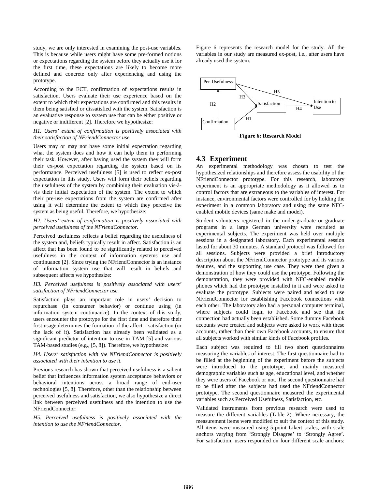study, we are only interested in examining the post-use variables. This is because while users might have some pre-formed notions or expectations regarding the system before they actually use it for the first time, these expectations are likely to become more defined and concrete only after experiencing and using the prototype.

According to the ECT, confirmation of expectations results in satisfaction. Users evaluate their use experience based on the extent to which their expectations are confirmed and this results in them being satisfied or dissatisfied with the system. Satisfaction is an evaluative response to system use that can be either positive or negative or indifferent [2]. Therefore we hypothesize:

#### *H1. Users' extent of confirmation is positively associated with their satisfaction of NFriendConnector use.*

Users may or may not have some initial expectation regarding what the system does and how it can help them in performing their task. However, after having used the system they will form their ex-post expectation regarding the system based on its performance. Perceived usefulness [5] is used to reflect ex-post expectation in this study. Users will form their beliefs regarding the usefulness of the system by combining their evaluation vis-àvis their initial expectation of the system. The extent to which their pre-use expectations from the system are confirmed after using it will determine the extent to which they perceive the system as being useful. Therefore, we hypothesize:

#### *H2. Users' extent of confirmation is positively associated with perceived usefulness of the NFriendConnector.*

Perceived usefulness reflects a belief regarding the usefulness of the system and, beliefs typically result in affect. Satisfaction is an affect that has been found to be significantly related to perceived usefulness in the context of information systems use and continuance [2]. Since trying the NFriendConnector is an instance of information system use that will result in beliefs and subsequent affects we hypothesize:

#### *H3. Perceived usefulness is positively associated with users' satisfaction of NFriendConnector use.*

Satisfaction plays an important role in users' decision to repurchase (in consumer behavior) or continue using (in information system continuance). In the context of this study, users encounter the prototype for the first time and therefore their first usage determines the formation of the affect – satisfaction (or the lack of it). Satisfaction has already been validated as a significant predictor of intention to use in TAM [5] and various TAM-based studies (e.g., [5, 8]). Therefore, we hypothesize:

#### *H4. Users' satisfaction with the NFriendConnector is positively associated with their intention to use it.*

Previous research has shown that perceived usefulness is a salient belief that influences information system acceptance behaviors or behavioral intentions across a broad range of end-user technologies [5, 8]. Therefore, other than the relationship between perceived usefulness and satisfaction, we also hypothesize a direct link between perceived usefulness and the intention to use the NFriendConnector:

*H5. Perceived usefulness is positively associated with the intention to use the NFriendConnector.*

Figure 6 represents the research model for the study. All the variables in our study are measured ex-post, i.e., after users have already used the system.



**Figure 6: Research Model**

## **4.3 Experiment**

An experimental methodology was chosen to test the hypothesized relationships and therefore assess the usability of the NFriendConnector prototype. For this research, laboratory experiment is an appropriate methodology as it allowed us to control factors that are extraneous to the variables of interest. For instance, environmental factors were controlled for by holding the experiment in a common laboratory and using the same NFCenabled mobile devices (same make and model).

Student volunteers registered in the under-graduate or graduate programs in a large German university were recruited as experimental subjects. The experiment was held over multiple sessions in a designated laboratory. Each experimental session lasted for about 30 minutes. A standard protocol was followed for all sessions. Subjects were provided a brief introductory description about the NFriendConnector prototype and its various features, and the supporting use case. They were then given a demonstration of how they could use the prototype. Following the demonstration, they were provided with NFC-enabled mobile phones which had the prototype installed in it and were asked to evaluate the prototype. Subjects were paired and asked to use NFriendConnector for establishing Facebook connections with each other. The laboratory also had a personal computer terminal, where subjects could login to Facebook and see that the connection had actually been established. Some dummy Facebook accounts were created and subjects were asked to work with these accounts, rather than their own Facebook accounts, to ensure that all subjects worked with similar kinds of Facebook profiles.

Each subject was required to fill two short questionnaires measuring the variables of interest. The first questionnaire had to be filled at the beginning of the experiment before the subjects were introduced to the prototype, and mainly measured demographic variables such as age, educational level, and whether they were users of Facebook or not. The second questionnaire had to be filled after the subjects had used the NFriendConnector prototype. The second questionnaire measured the experimental variables such as Perceived Usefulness, Satisfaction, etc.

Validated instruments from previous research were used to measure the different variables (Table 2). Where necessary, the measurement items were modified to suit the context of this study. All items were measured using 5-point Likert scales, with scale anchors varying from 'Strongly Disagree' to 'Strongly Agree'. For satisfaction, users responded on four different scale anchors: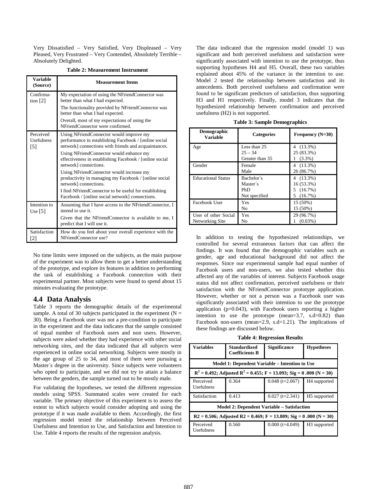Very Dissatisfied – Very Satisfied, Very Displeased – Very Pleased, Very Frustrated – Very Contended, Absolutely Terrible – Absolutely Delighted.

**Table 2: Measurement Instrument**

| <b>Variable</b><br>(Source)                         | <b>Measurement Items</b>                                                                                                                                                                                                                                                                                                                                                                                                                                                                                                          |  |  |
|-----------------------------------------------------|-----------------------------------------------------------------------------------------------------------------------------------------------------------------------------------------------------------------------------------------------------------------------------------------------------------------------------------------------------------------------------------------------------------------------------------------------------------------------------------------------------------------------------------|--|--|
| Confirma-<br>tion $[2]$                             | My expectation of using the NFriendConnector was<br>better than what I had expected.                                                                                                                                                                                                                                                                                                                                                                                                                                              |  |  |
|                                                     | The functionality provided by NFriendConnector was<br>better than what I had expected.                                                                                                                                                                                                                                                                                                                                                                                                                                            |  |  |
|                                                     | Overall, most of my expectations of using the<br>NFriendConnector were confirmed.                                                                                                                                                                                                                                                                                                                                                                                                                                                 |  |  |
| Perceived<br><b>Usefulness</b><br>$\lceil 5 \rceil$ | Using NFriendConnector would improve my<br>performance in establishing Facebook / [online social<br>network] connections with friends and acquaintances.<br>Using NFriendConnector would enhance my<br>effectiveness in establishing Facebook / [online social<br>network] connections.<br>Using NFriendConnector would increase my<br>productivity in managing my Facebook / [online social<br>network] connections.<br>I find NFriendConnector to be useful for establishing<br>Facebook / [online social network] connections. |  |  |
| Intention to<br>Use $[5]$                           | Assuming that I have access to the NFriendConnector, I<br>intend to use it.<br>Given that the NFriendConnector is available to me, I<br>predict that I will use it.                                                                                                                                                                                                                                                                                                                                                               |  |  |
| Satisfaction<br>[2]                                 | How do you feel about your overall experience with the<br>NFriendConnector use?                                                                                                                                                                                                                                                                                                                                                                                                                                                   |  |  |

No time limits were imposed on the subjects, as the main purpose of the experiment was to allow them to get a better understanding of the prototype, and explore its features in addition to performing the task of establishing a Facebook connection with their experimental partner. Most subjects were found to spend about 15 minutes evaluating the prototype.

#### **4.4 Data Analysis**

Table 3 reports the demographic details of the experimental sample. A total of 30 subjects participated in the experiment ( $N =$ 30). Being a Facebook user was not a pre-condition to participate in the experiment and the data indicates that the sample consisted of equal number of Facebook users and non users. However, subjects were asked whether they had experience with other social networking sites, and the data indicated that all subjects were experienced in online social networking. Subjects were mostly in the age group of 25 to 34, and most of them were pursuing a Master´s degree in the university. Since subjects were volunteers who opted to participate, and we did not try to attain a balance between the genders, the sample turned out to be mostly male.

For validating the hypotheses, we tested the different regression models using SPSS. Summated scales were created for each variable. The primary objective of this experiment is to assess the extent to which subjects would consider adopting and using the prototype if it was made available to them. Accordingly, the first regression model tested the relationship between Perceived Usefulness and Intention to Use, and Satisfaction and Intention to Use. Table 4 reports the results of the regression analysis.

The data indicated that the regression model (model 1) was significant and both perceived usefulness and satisfaction were significantly associated with intention to use the prototype, thus supporting hypotheses H4 and H5. Overall, these two variables explained about 45% of the variance in the intention to use. Model 2 tested the relationship between satisfaction and its antecedents. Both perceived usefulness and confirmation were found to be significant predictors of satisfaction, thus supporting H3 and H1 respectively. Finally, model 3 indicates that the hypothesized relationship between confirmation and perceived usefulness (H2) is not supported.

| <b>Table 3: Sample Demographics</b> |  |  |
|-------------------------------------|--|--|
|-------------------------------------|--|--|

| <b>Demographic</b><br><b>Variable</b> | <b>Categories</b> | Frequency $(N=30)$ |
|---------------------------------------|-------------------|--------------------|
| Age                                   | Less than 25      | $(13.3\%)$<br>4    |
|                                       | $25 - 34$         | 25 (83.3%)         |
|                                       | Greater than 35   | $(3.3\%)$          |
| Gender                                | Female            | $4(13.3\%)$        |
|                                       | Male              | 26 (86.7%)         |
| <b>Educational Status</b>             | Bachelor's        | $(13.3\%)$<br>4    |
|                                       | Master's          | 16 (53.3%)         |
|                                       | PhD               | 5(16.7%)           |
|                                       | Not specified     | (16.7%)<br>5       |
| Facebook User                         | Yes               | 15 (50%)           |
|                                       | No                | 15 (50%)           |
| User of other Social                  | Yes               | 29 (96.7%)         |
| Networking Site                       | No                | $(0.03\%)$         |

In addition to testing the hypothesized relationships, we controlled for several extraneous factors that can affect the findings. It was found that the demographic variables such as gender, age and educational background did not affect the responses. Since our experimental sample had equal number of Facebook users and non-users, we also tested whether this affected any of the variables of interest. Subjects Facebook usage status did not affect confirmation, perceived usefulness or their satisfaction with the NFriendConnector prototype application. However, whether or not a person was a Facebook user was significantly associated with their intention to use the prototype application (p=0.043), with Facebook users reporting a higher intention to use the prototype (mean=3.7, s.d=0.82) than Facebook non-users (mean=2.9, s.d=1.21). The implications of these findings are discussed below.

|  |  |  | <b>Table 4: Regression Results</b> |  |
|--|--|--|------------------------------------|--|
|--|--|--|------------------------------------|--|

| Variables                                                                 | <b>Standardized</b><br><b>Coefficients B</b> | <b>Significance</b> | <b>Hypotheses</b>        |  |
|---------------------------------------------------------------------------|----------------------------------------------|---------------------|--------------------------|--|
| Model 1: Dependent Variable – Intention to Use                            |                                              |                     |                          |  |
| $R^2 = 0.492$ ; Adjusted $R^2 = 0.455$ ; F = 13.093; Sig = 0.000 (N = 30) |                                              |                     |                          |  |
| Perceived<br>Usefulness                                                   | 0.364                                        | $0.048$ (t=2.067)   | H <sub>4</sub> supported |  |
| Satisfaction                                                              | 0.413                                        | $0.027$ (t=2.341)   | H <sub>5</sub> supported |  |
| <b>Model 2: Dependent Variable – Satisfaction</b>                         |                                              |                     |                          |  |
| $R2 = 0.506$ ; Adjusted R2 = 0.469; F = 13.809; Sig = 0.000 (N = 30)      |                                              |                     |                          |  |
| Perceived<br><b>Usefulness</b>                                            | 0.560                                        | $0.000$ (t=4.049)   | H <sub>3</sub> supported |  |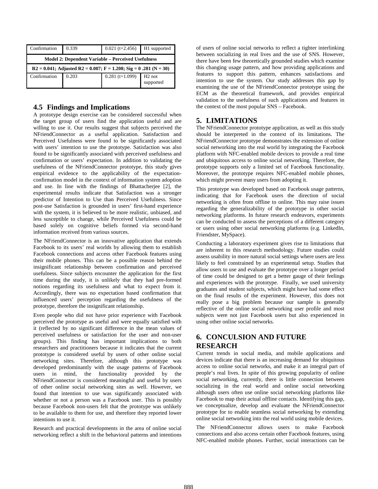| Confirmation                                                        | 0.339 | $0.021$ (t=2.456) | H1 supported                    |
|---------------------------------------------------------------------|-------|-------------------|---------------------------------|
| <b>Model 2: Dependent Variable – Perceived Usefulness</b>           |       |                   |                                 |
| $R2 = 0.041$ ; Adjusted R2 = 0.007; F = 1.208; Sig = 0.281 (N = 30) |       |                   |                                 |
| Confirmation                                                        | 0.203 | $0.281$ (t=1.099) | H <sub>2</sub> not<br>supported |

## **4.5 Findings and Implications**

A prototype design exercise can be considered successful when the target group of users find the application useful and are willing to use it. Our results suggest that subjects perceived the NFriendConnector as a useful application. Satisfaction and Perceived Usefulness were found to be significantly associated with users' intention to use the prototype. Satisfaction was also found to be significantly associated with perceived usefulness and confirmation or users' expectation. In addition to validating the usefulness of the NFriendConnector prototype, this study gives empirical evidence to the applicability of the expectationconfirmation model in the context of information system adoption and use. In line with the findings of Bhattacherjee [2], the experimental results indicate that Satisfaction was a stronger predictor of Intention to Use than Perceived Usefulness. Since post-use Satisfaction is grounded in users' first-hand experience with the system, it is believed to be more realistic, unbiased, and less susceptible to change, while Perceived Usefulness could be based solely on cognitive beliefs formed via second-hand information received from various sources.

The NFriendConnector is an innovative application that extends Facebook to its users' real worlds by allowing them to establish Facebook connections and access other Facebook features using their mobile phones. This can be a possible reason behind the insignificant relationship between confirmation and perceived usefulness. Since subjects encounter the application for the first time during the study, it is unlikely that they had pre-formed notions regarding its usefulness and what to expect from it. Accordingly, there was no expectation based confirmation that influenced users' perception regarding the usefulness of the prototype, therefore the insignificant relationship.

Even people who did not have prior experience with Facebook perceived the prototype as useful and were equally satisfied with it (reflected by no significant difference in the mean values of perceived usefulness or satisfaction for the user and non-user groups). This finding has important implications to both researchers and practitioners because it indicates that the current prototype is considered useful by users of other online social networking sites. Therefore, although this prototype was developed predominantly with the usage patterns of Facebook users in mind, the functionality provided by the NFriendConnector is considered meaningful and useful by users of other online social networking sites as well. However, we found that intention to use was significantly associated with whether or not a person was a Facebook user. This is possibly because Facebook non-users felt that the prototype was unlikely to be available to them for use, and therefore they reported lower intentions to use it.

Research and practical developments in the area of online social networking reflect a shift in the behavioral patterns and intentions

of users of online social networks to reflect a tighter interlinking between socializing in real lives and the use of SNS. However, there have been few theoretically grounded studies which examine this changing usage pattern, and how providing applications and features to support this pattern, enhances satisfactions and intention to use the system. Our study addresses this gap by examining the use of the NFriendConnector prototype using the ECM as the theoretical framework, and provides empirical validation to the usefulness of such applications and features in the context of the most popular SNS – Facebook.

## **5. LIMITATIONS**

The NFriendConnector prototype application, as well as this study should be interpreted in the context of its limitations. The NFriendConnector prototype demonstrates the extension of online social networking into the real world by integrating the Facebook platform with NFC-enabled mobile devices to provide a real time and ubiquitous access to online social networking. Therefore, the prototype supports only a limited set of Facebook functionality. Moreover, the prototype requires NFC-enabled mobile phones, which might prevent many users from adopting it.

This prototype was developed based on Facebook usage patterns, indicating that for Facebook users the direction of social networking is often from offline to online. This may raise issues regarding the generalizability of the prototype in other social networking platforms. In future research endeavors, experiments can be conducted to assess the perceptions of a different category or users using other social networking platforms (e.g. LinkedIn, Friendster, MySpace).

Conducting a laboratory experiment gives rise to limitations that are inherent to this research methodology. Future studies could assess usability in more natural social settings where users are less likely to feel constrained by an experimental setup. Studies that allow users to use and evaluate the prototype over a longer period of time could be designed to get a better gauge of their feelings and experiences with the prototype. Finally, we used university graduates and student subjects, which might have had some effect on the final results of the experiment. However, this does not really pose a big problem because our sample is generally reflective of the online social networking user profile and most subjects were not just Facebook users but also experienced in using other online social networks.

## **6. CONCULSION AND FUTURE RESEARCH**

Current trends in social media, and mobile applications and devices indicate that there is an increasing demand for ubiquitous access to online social networks, and make it an integral part of people's real lives. In spite of this growing popularity of online social networking, currently, there is little connection between socializing in the real world and online social networking although users often use online social networking platforms like Facebook to map their actual offline contacts. Identifying this gap, we conceptualize, develop and evaluate the NFriendConnector prototype for to enable seamless social networking by extending online social networking into the real world using mobile devices.

The NFriendConnector allows users to make Facebook connections and also access certain other Facebook features, using NFC-enabled mobile phones. Further, social interactions can be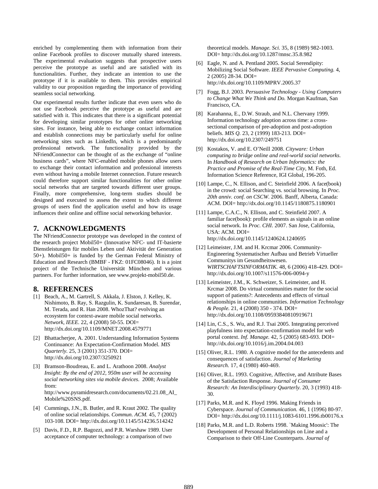enriched by complementing them with information from their online Facebook profiles to discover mutually shared interests. The experimental evaluation suggests that prospective users perceive the prototype as useful and are satisfied with its functionalities. Further, they indicate an intention to use the prototype if it is available to them. This provides empirical validity to our proposition regarding the importance of providing seamless social networking.

Our experimental results further indicate that even users who do not use Facebook perceive the prototype as useful and are satisfied with it. This indicates that there is a significant potential for developing similar prototypes for other online networking sites. For instance, being able to exchange contact information and establish connections may be particularly useful for online networking sites such as LinkedIn, which is a predominantly professional network. The functionality provided by the NFriendConnector can be thought of as the exchange of "online business cards", where NFC-enabled mobile phones allow users to exchange their contact information and professional interests even without having a mobile Internet connection. Future research could therefore support similar functionalities for other online social networks that are targeted towards different user groups. Finally, more comprehensive, long-term studies should be designed and executed to assess the extent to which different groups of users find the application useful and how its usage influences their online and offline social networking behavior.

#### **7. ACKNOWLEDGMENTS**

The NFriendConnector prototype was developed in the context of the research project Mobil50+ (Innovative NFC- und IT-basierte Dienstleistungen für mobiles Leben und Aktivität der Generation 50+). Mobil50+ is funded by the German Federal Ministry of Education and Research (BMBF - FKZ: 01FC08046). It is a joint project of the Technische Universität München and various partners. For further information, see www.projekt-mobil50.de.

#### **8. REFERENCES**

- [1] Beach, A., M. Gartrell, S. Akkala, J. Elston, J. Kelley, K. Nishimoto, B. Ray, S. Razgulin, K. Sundaresan, B. Surendar, M. Terada, and R. Han 2008. WhozThat? evolving an ecosystem for context-aware mobile social networks. *Network, IEEE.* 22, 4 (2008) 50-55. DOI= http://dx.doi.org/10.1109/MNET.2008.4579771
- [2] Bhattacherjee, A. 2001. Understanding Information Systems Continuance: An Expectation-Confirmation Model. *MIS Quarterly.* 25, 3 (2001) 351-370. DOI= http://dx.doi.org/10.2307/3250921
- [3] Bramson-Boudreau, E. and L. Arathoon 2008. *Analyst Insight: By the end of 2012, 950m user will be accessing social networking sites via mobile devices*. 2008; Available from: http://www.pyramidresearch.com/documents/02.21.08\_AI\_ Mobile%20SNS.pdf.
- [4] Cummings, J.N., B. Butler, and R. Kraut 2002. The quality of online social relationships. *Commun. ACM.* 45, 7 (2002) 103-108. DOI= http://dx.doi.org/10.1145/514236.514242
- [5] Davis, F.D., R.P. Bagozzi, and P.R. Warshaw 1989. User acceptance of computer technology: a comparison of two

theoretical models. *Manage. Sci.* 35, 8 (1989) 982-1003. DOI= http://dx.doi.org/10.1287/mnsc.35.8.982

- [6] Eagle, N. and A. Pentland 2005. Social Serendipity: Mobilizing Social Software. *IEEE Pervasive Computing.* 4, 2 (2005) 28-34. DOI= http://dx.doi.org/10.1109/MPRV.2005.37
- [7] Fogg, B.J. 2003. *Persuasive Technology - Using Computers to Change What We Think and Do.* Morgan Kaufman, San Francisco, CA.
- [8] Karahanna, E., D.W. Straub, and N.L. Chervany 1999. Information technology adoption across time: a crosssectional comparison of pre-adoption and post-adoption beliefs. *MIS Q.* 23, 2 (1999) 183-213. DOI= http://dx.doi.org/10.2307/249751
- [9] Kostakos, V. and E. O'Neill 2008. *Cityware: Urban computing to bridge online and real-world social networks*. In *Handbook of Research on Urban Informatics: the Practice and Promise of the Real-Time City*, M. Foth, Ed. Information Science Reference, IGI Global, 196-205.
- [10] Lampe, C., N. Ellison, and C. Steinfield 2006. A face(book) in the crowd: social Searching vs. social browsing. In *Proc. 20th anniv. conf. on CSCW*. 2006. Banff, Alberta, Canada: ACM. DOI= http://dx.doi.org/10.1145/1180875.1180901
- [11] Lampe, C.A.C., N. Ellison, and C. Steinfield 2007. A familiar face(book): profile elements as signals in an online social network. In *Proc. CHI*. 2007. San Jose, California, USA: ACM. DOI= http://dx.doi.org/10.1145/1240624.1240695
- [12] Leimeister, J.M. and H. Krcmar 2006. Community-Engineering Systematischer Aufbau und Betrieb Virtueller Communitys im Gesundheitswesen. *WIRTSCHAFTSINFORMATIK.* 48, 6 (2006) 418-429. DOI= http://dx.doi.org/10.1007/s11576-006-0094-y
- [13] Leimeister, J.M., K. Schweizer, S. Leimeister, and H. Krcmar 2008. Do virtual communities matter for the social support of patients?: Antecedents and effects of virtual relationships in online communities. *Information Technology & People.* 21, 4 (2008) 350 - 374. DOI= http://dx.doi.org/10.1108/09593840810919671
- [14] Lin, C.S., S. Wu, and R.J. Tsai 2005. Integrating perceived playfulness into expectation-confirmation model for web portal context. *Inf. Manage.* 42, 5 (2005) 683-693. DOI= http://dx.doi.org/10.1016/j.im.2004.04.003
- [15] Oliver, R.L. 1980. A cognitive model for the antecedents and consequences of satisfaction. *Journal of Marketing Research.* 17, 4 (1980) 460-469.
- [16] Oliver, R.L. 1993. Cognitive, Affective, and Attribute Bases of the Satisfaction Response. *Journal of Consumer Research: An Interdisciplinary Quarterly.* 20, 3 (1993) 418- 30.
- [17] Parks, M.R. and K. Floyd 1996. Making Friends in Cyberspace. *Journal of Communication.* 46, 1 (1996) 80-97. DOI= http://dx.doi.org/10.1111/j.1083-6101.1996.tb00176.x
- [18] Parks, M.R. and L.D. Roberts 1998. `Making Moosic': The Development of Personal Relationships on Line and a Comparison to their Off-Line Counterparts. *Journal of*